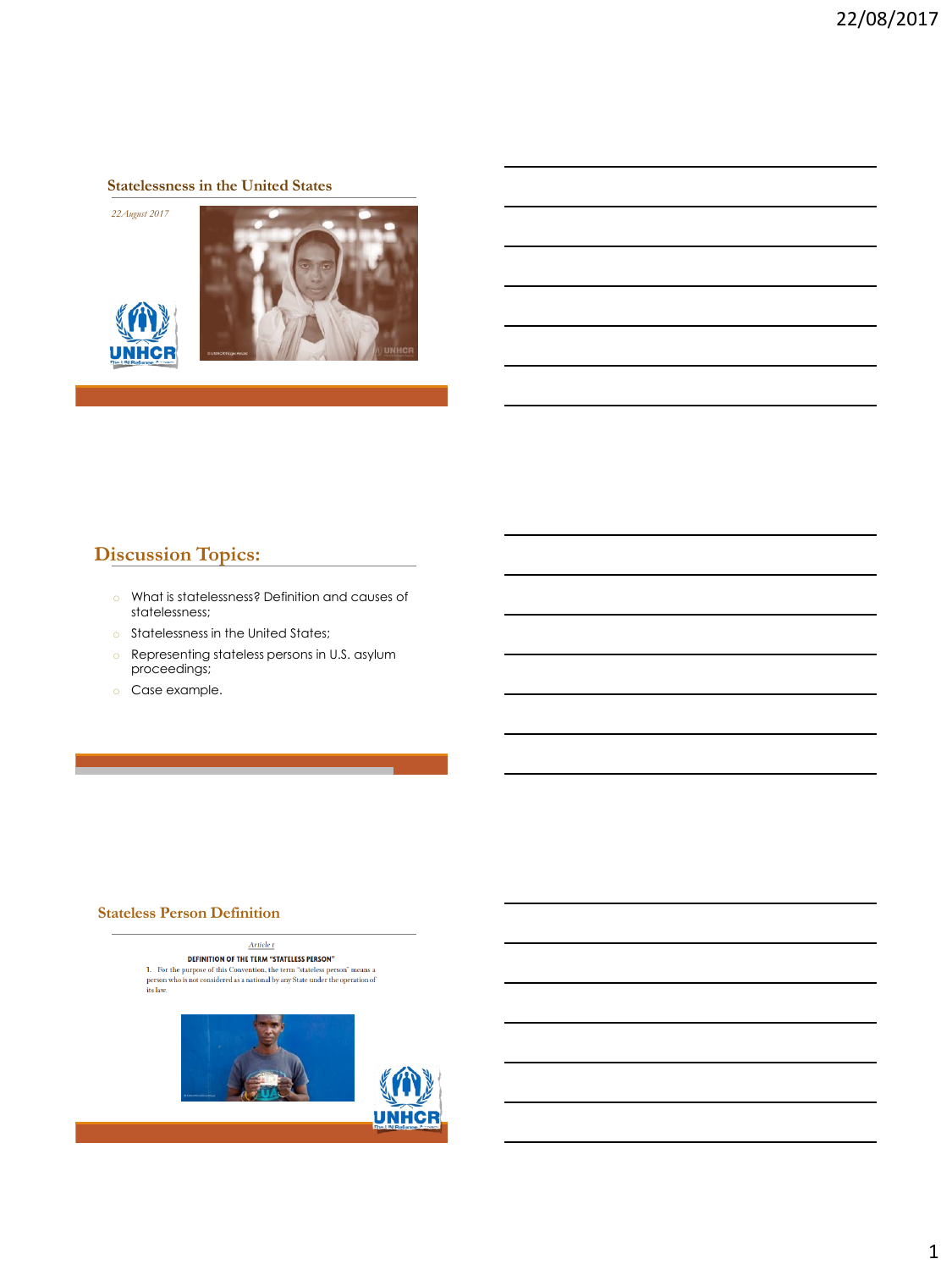#### **Statelessness in the United States**

*22August 2017*





### **Discussion Topics:**

- o What is statelessness? Definition and causes of statelessness;
- o Statelessness in the United States;
- o Representing stateless persons in U.S. asylum proceedings;
- o Case example.

#### **Stateless Person Definition**

Article  $\bf r$ DEFINITION OF THE TERM "STATELESS PERSON" **DETAINMENT OF THE CONVENTION OF THE CONVENTION CONVENTION (SECT)** THE PRESS PERSON THE PRESS OF THE PRESS OF THE PRESS PERSON THE SET OF THE PRESS PERSON THE SET OF THE SET OF THE SET OF THE SET OF THE SET OF THE SET OF T



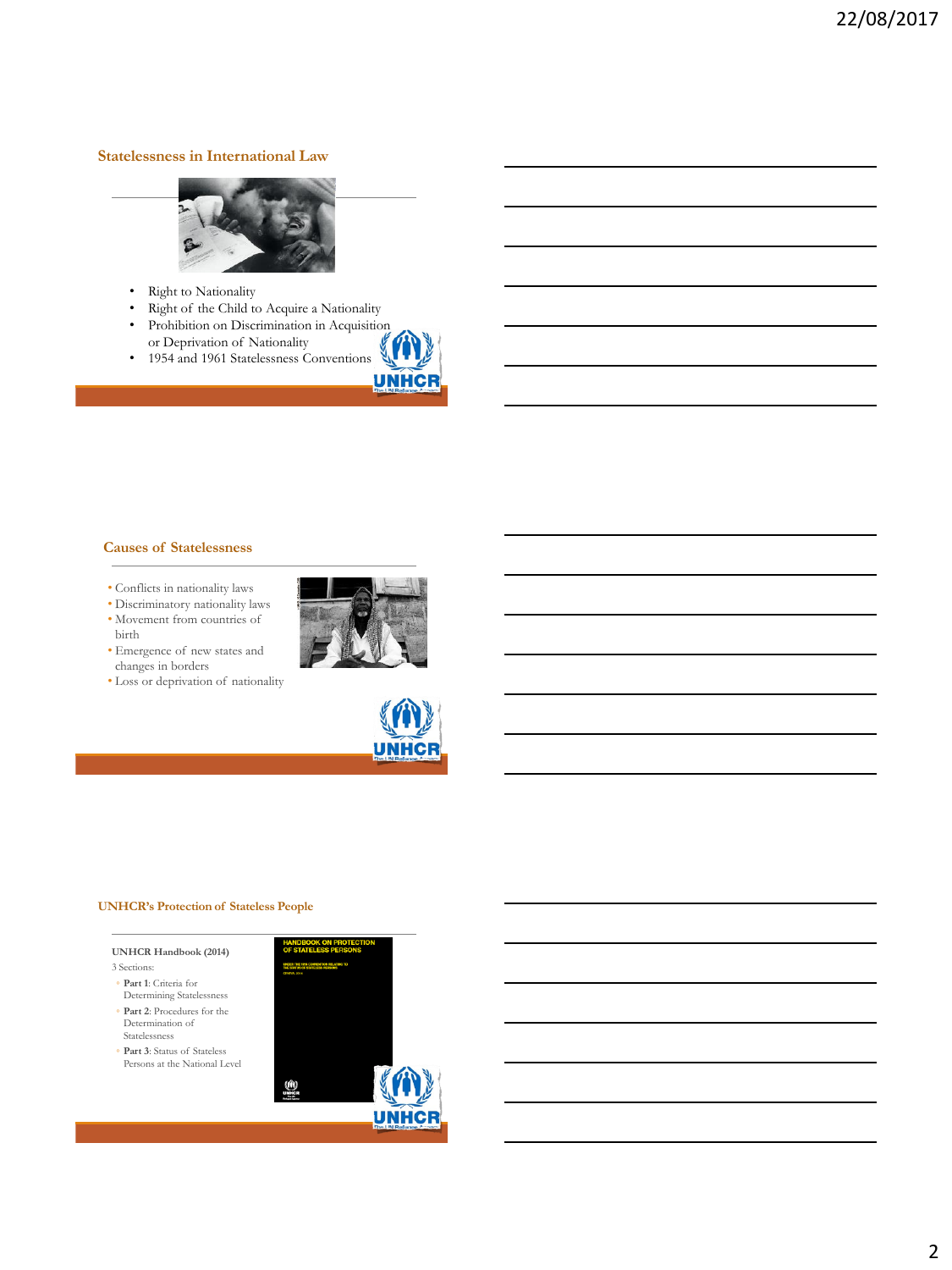#### **Statelessness in International Law**



- Right to Nationality
- Right of the Child to Acquire a Nationality
- Prohibition on Discrimination in Acquisition or Deprivation of Nationality
- 1954 and 1961 Statelessness Conventions



- Conflicts in nationality laws
- Discriminatory nationality laws
- Movement from countries of birth



• Loss or deprivation of nationality





**UNHC** 

#### **UNHCR's Protection of Stateless People**



- Statelessness ◦ **Part 3**: Status of Stateless
- Persons at the National Level

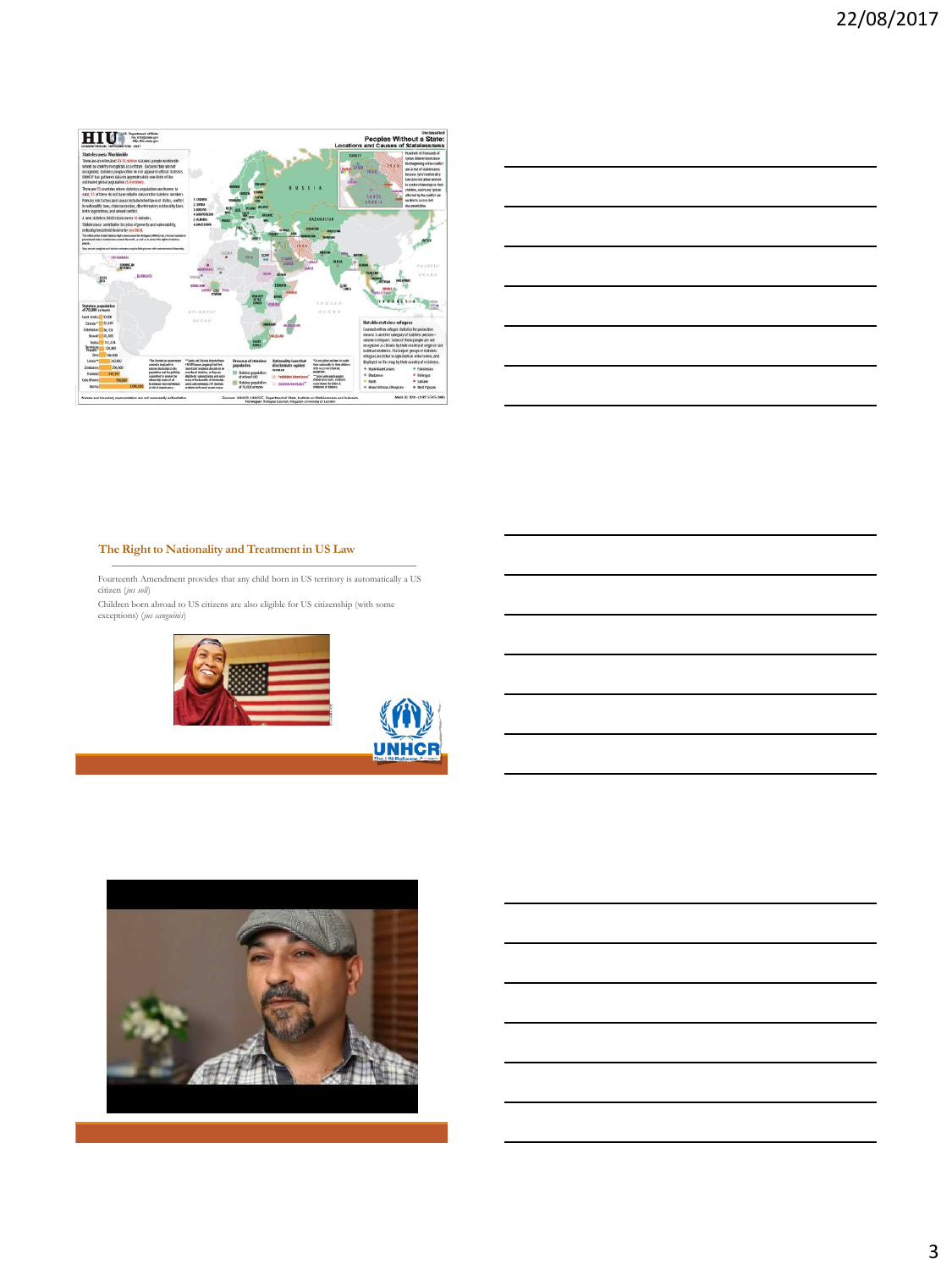

|  |                                                             | <u> 1989 - Johann Stoff, deutscher Stoffen und der Stoffen und der Stoffen und der Stoffen und der Stoffen und der</u> |
|--|-------------------------------------------------------------|------------------------------------------------------------------------------------------------------------------------|
|  |                                                             | <u> 1989 - Johann Stoff, deutscher Stoff, der Stoff, der Stoff, der Stoff, der Stoff, der Stoff, der Stoff, der S</u>  |
|  |                                                             |                                                                                                                        |
|  |                                                             | <u> 1989 - Andrea Santa Alemania, amerikana amerikana amerikana amerikana amerikana amerikana amerikana amerikana</u>  |
|  | <u> 1980 - Johann Stoff, amerikansk politiker (d. 1980)</u> |                                                                                                                        |
|  |                                                             |                                                                                                                        |

#### **The Right to Nationality and Treatment in US Law**

Fourteenth Amendment provides that any child born in US territory is automatically a US citizen (*jus soli*)

Children born abroad to US citizens are also eligible for US citizenship (with some exceptions) (*jus sanguinis*)



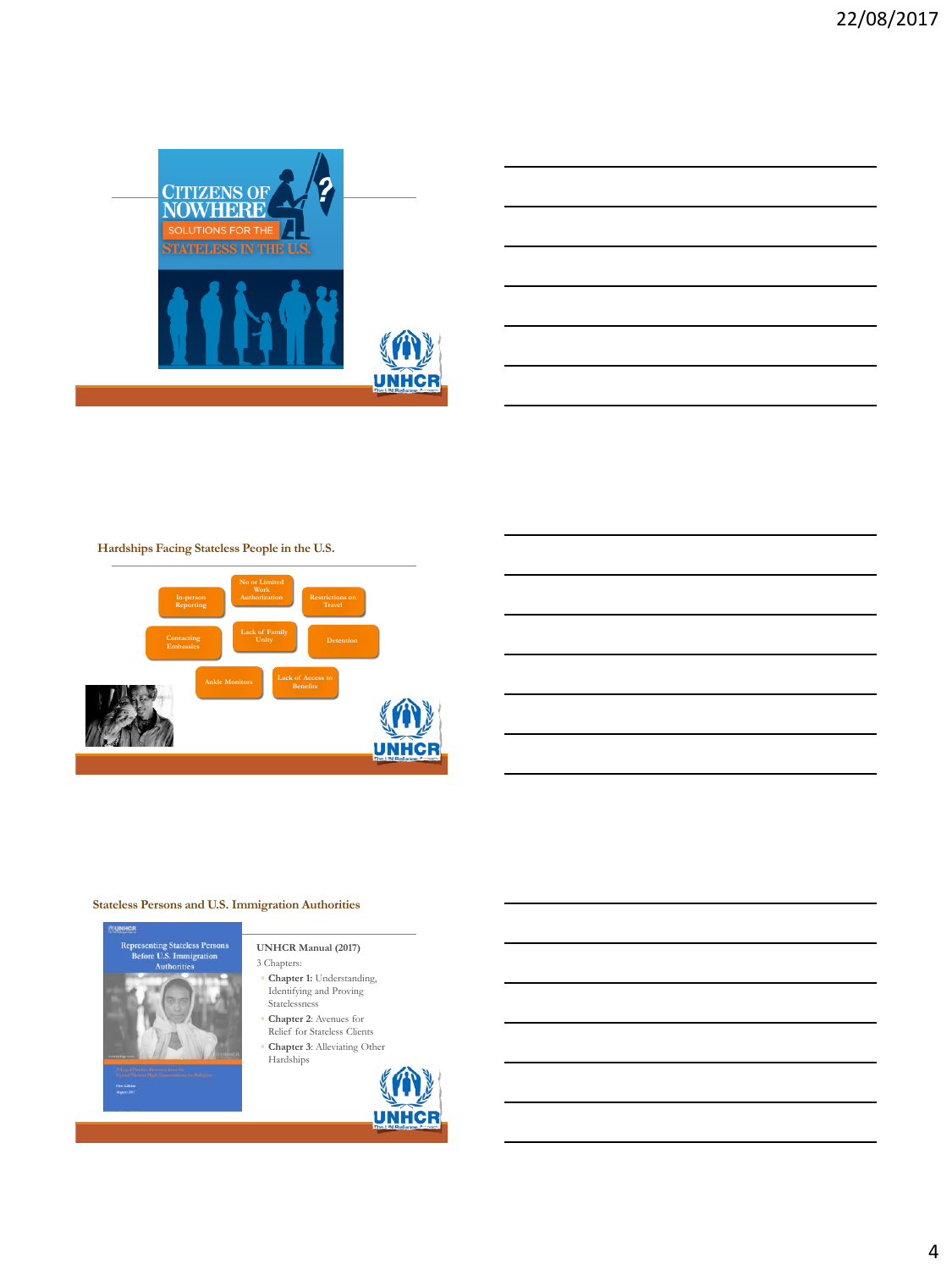





#### **Stateless Persons and U.S. Immigration Authorities**



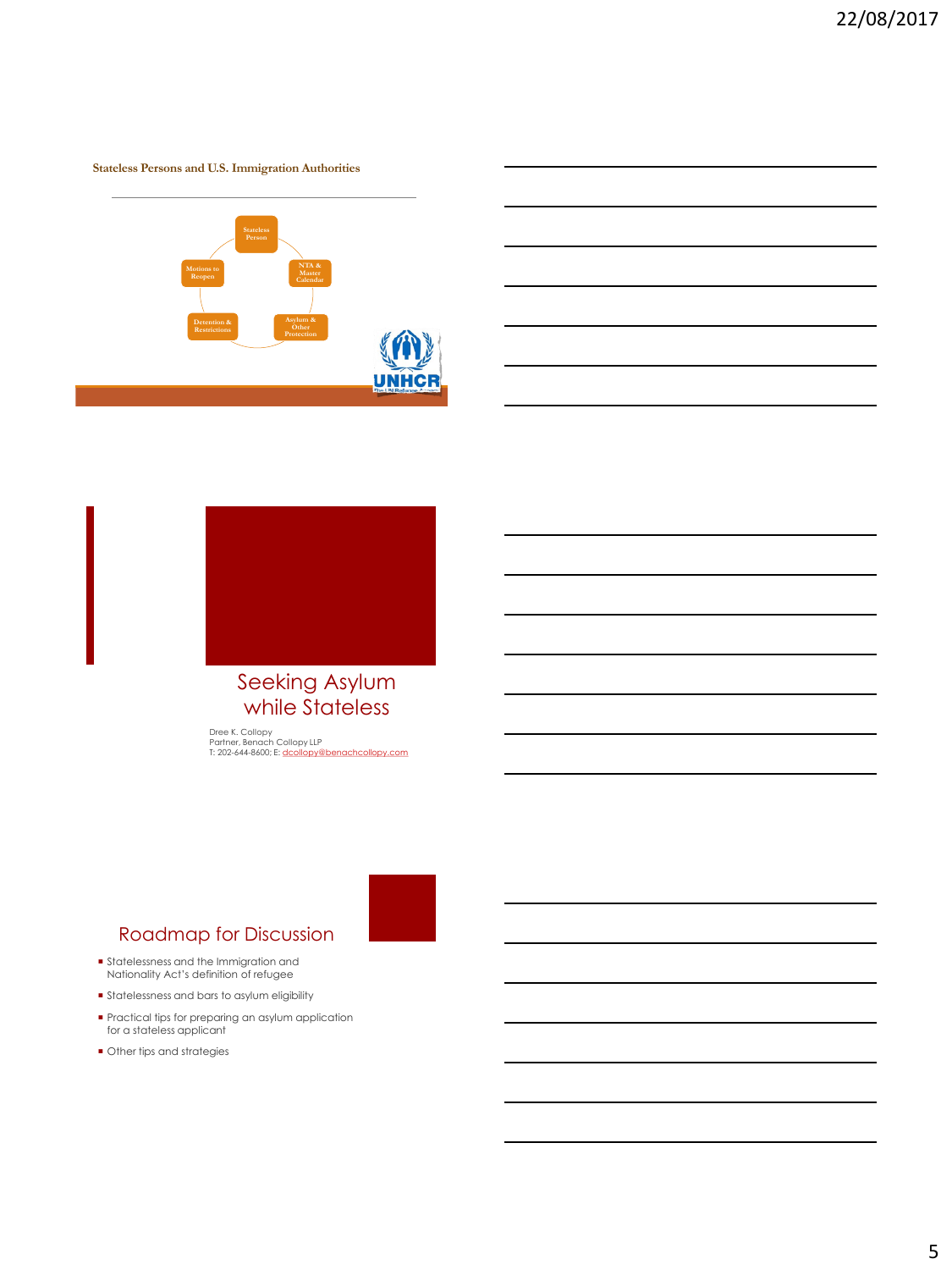#### **Stateless Persons and U.S. Immigration Authorities**





# Seeking Asylum while Stateless

Dree K. Collopy<br>Partner, Benach Collopy LLP<br>T: 202-644-8600; E: [dcollopy@benachcollopy.com](mailto:dcollopy@benachcollopy.com)



### Roadmap for Discussion

- Statelessness and the Immigration and Nationality Act's definition of refugee
- Statelessness and bars to asylum eligibility
- Practical tips for preparing an asylum application for a stateless applicant
- $\blacksquare$  Other tips and strategies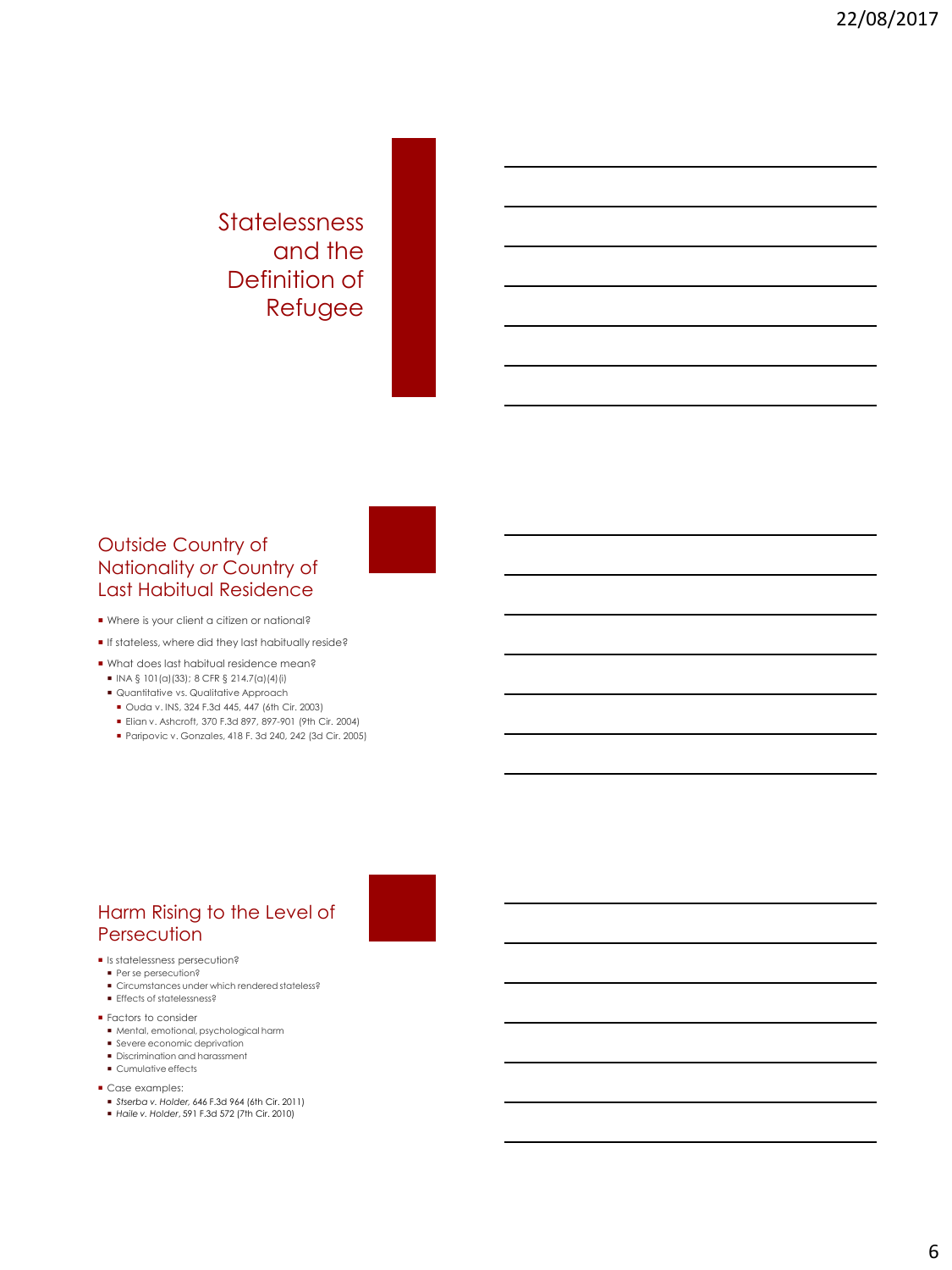# Statelessness and the Definition of Refugee

## Outside Country of Nationality *or* Country of Last Habitual Residence

- Where is your client a citizen or national?
- If stateless, where did they last habitually reside?
- What does last habitual residence mean?
- $\blacksquare$  INA § 101(a)(33); 8 CFR § 214.7(a)(4)(i)
- Quantitative vs. Qualitative Approach
- Ouda v. INS, 324 F.3d 445, 447 (6th Cir. 2003)
- Elian v. Ashcroft, 370 F.3d 897, 897-901 (9th Cir. 2004)
- Paripovic v. Gonzales, 418 F. 3d 240, 242 (3d Cir. 2005)

# Harm Rising to the Level of **Persecution**

- **Is statelessness persecution?**
- **Per se persecution?**
- Circumstances under which rendered stateless? **Effects of statelessness?**
- **Factors to consider**
- Mental, emotional, psychological harm
- Severe economic deprivation
- Discrimination and harassment
- **Cumulative effects**
- Case examples:
- *Stserba v. Holder,* 646 F.3d 964 (6th Cir. 2011)
- *Haile v. Holder*, 591 F.3d 572 (7th Cir. 2010)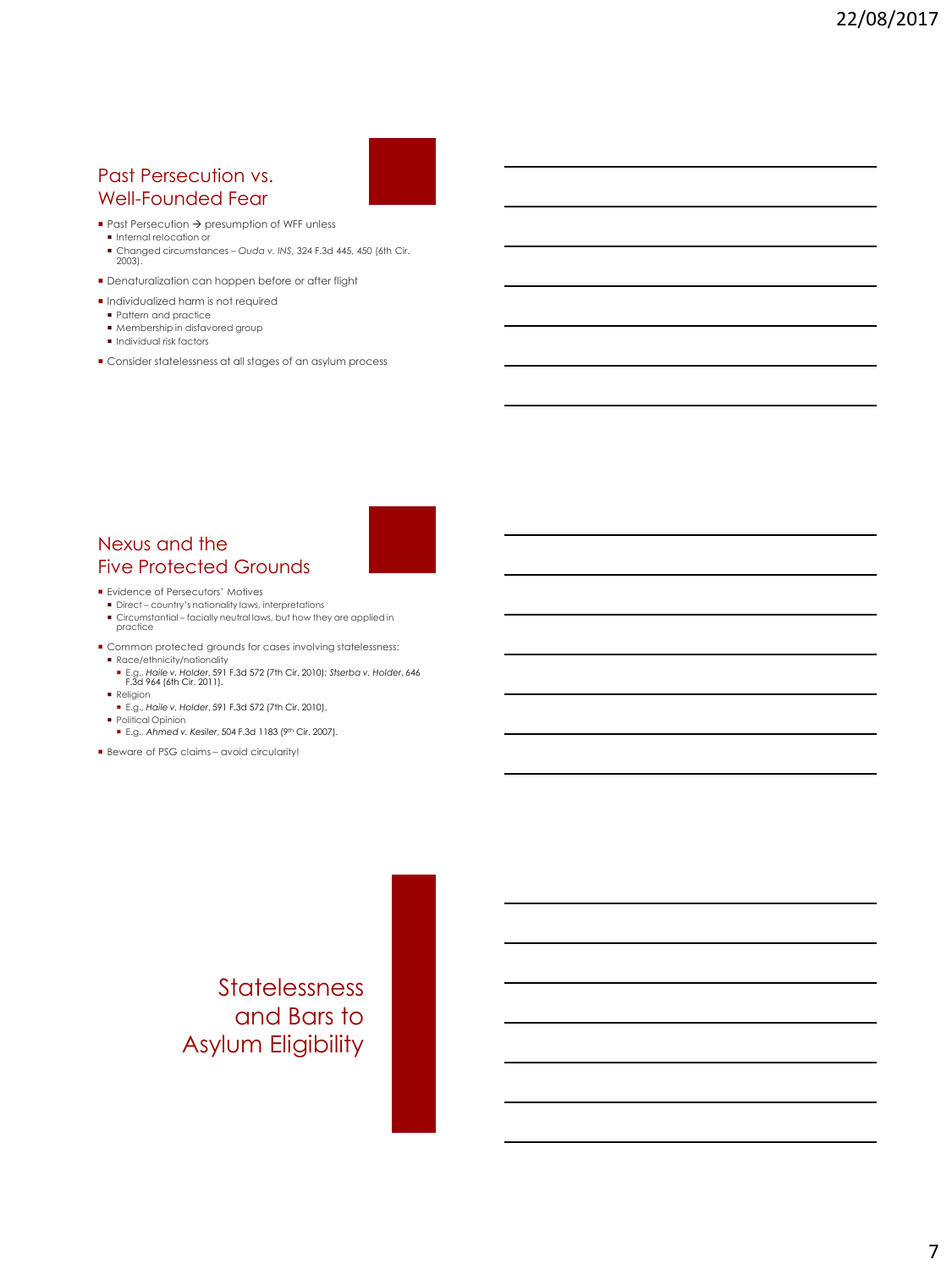## Past Persecution vs. Well-Founded Fear



- $\blacksquare$  Past Persecution  $\rightarrow$  presumption of WFF unless
- Internal relocation or
- Changed circumstances *Ouda v. INS*, 324 F.3d 445, 450 (6th Cir. 2003).
- **Denaturalization can happen before or after flight**
- Individualized harm is not required
- Pattern and practice
- Membership in disfavored group
- $\blacksquare$  Individual risk factors
- Consider statelessness at all stages of an asylum process

#### Nexus and the Five Protected Grounds

- **Evidence of Persecutors' Motives**
- Direct country's nationality laws, interpretations Circumstantial – facially neutral laws, but how they are applied in practice
- Common protected grounds for cases involving statelessness: Race/ethnicity/nationality
- E.g., *Haile v. Holder*, 591 F.3d 572 (7th Cir. 2010); *Stserba v. Holder*, 646 F.3d 964 (6th Cir. 2011). Religion
- E.g., *Haile v. Holder*, 591 F.3d 572 (7th Cir. 2010).
- **Political Opinion**
- **E.g., Ahmed v. Kesiler, 504 F.3d 1183 (9th Cir. 2007).**
- Beware of PSG claims avoid circularity!

# **Statelessness** and Bars to Asylum Eligibility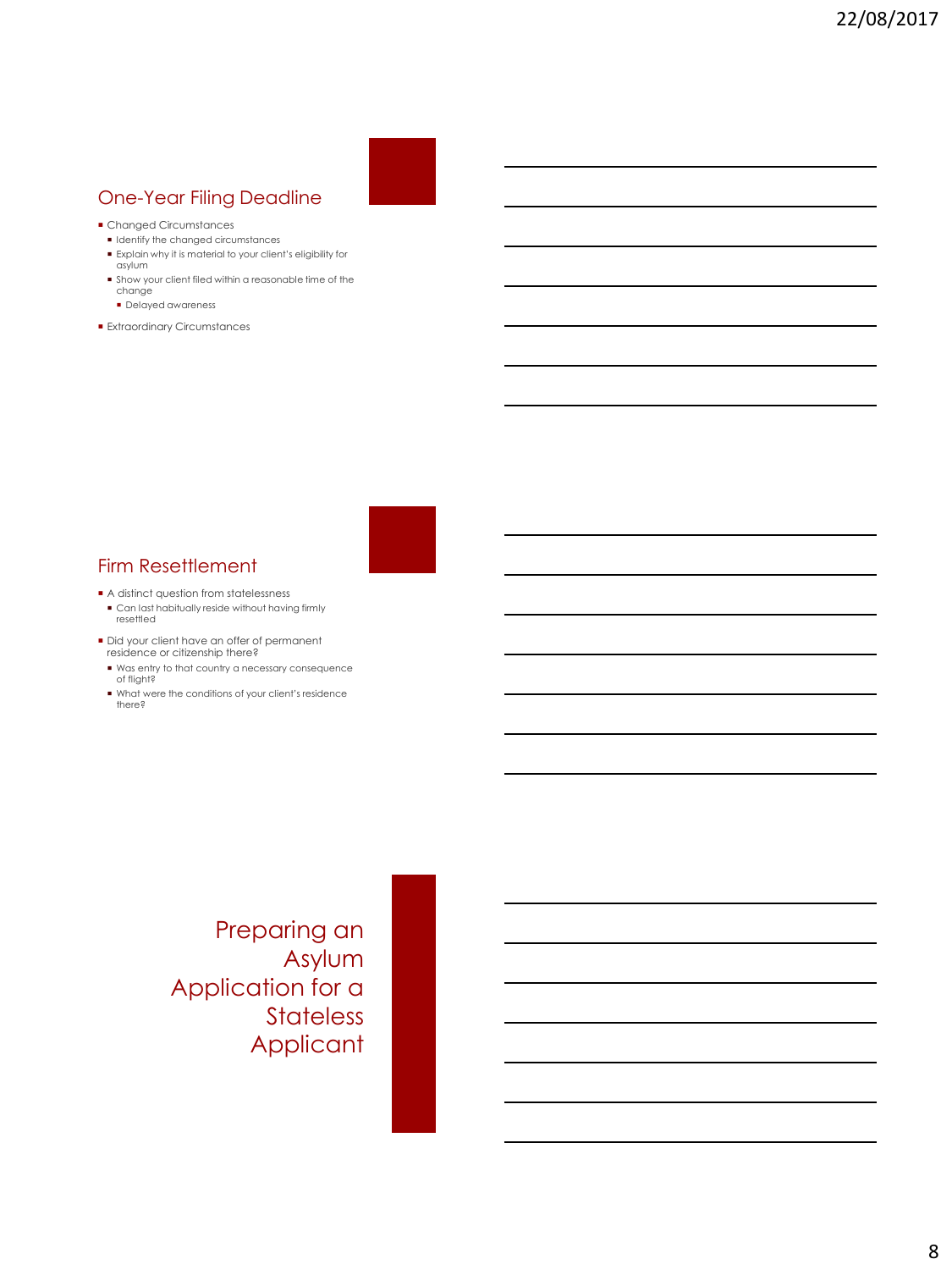# One-Year Filing Deadline

- Changed Circumstances
- $\blacksquare$  Identify the changed circumstances
- Explain why it is material to your client's eligibility for asylum
- Show your client filed within a reasonable time of the change
	- **Delayed awareness**
- **Extraordinary Circumstances**

# Firm Resettlement

- $\blacksquare$  A distinct question from statelessness
- Can last habitually reside without having firmly resettled
- Did your client have an offer of permanent residence or citizenship there?
	- Was entry to that country a necessary consequence of flight?
	- What were the conditions of your client's residence there?

Preparing an Asylum Application for a **Stateless** Applicant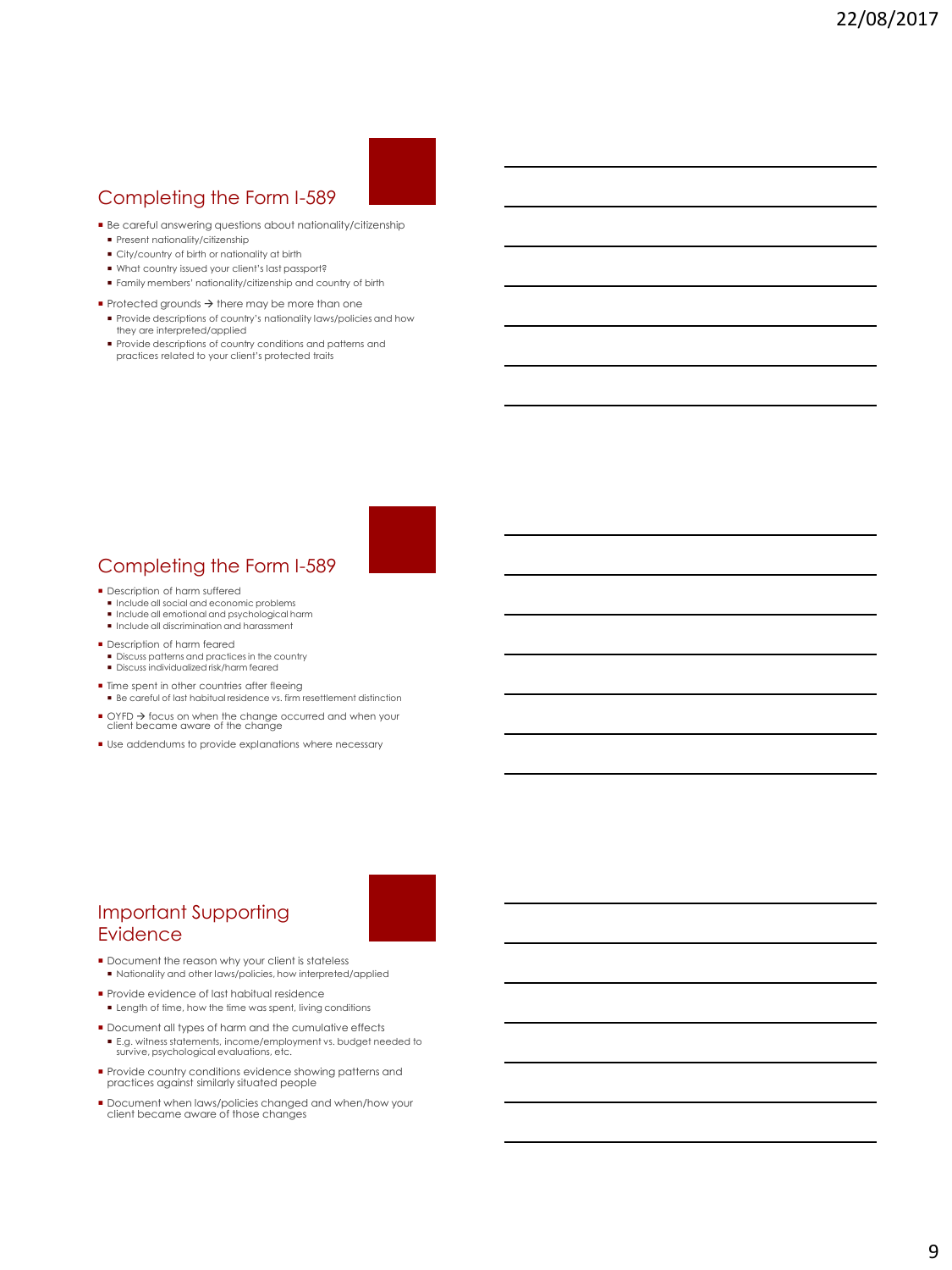# Completing the Form I-589

- Be careful answering questions about nationality/citizenship
- Present nationality/citizenship
- City/country of birth or nationality at birth
- What country issued your client's last passport?
- Family members' nationality/citizenship and country of birth
- $\blacktriangleright$  Protected grounds  $\rightarrow$  there may be more than one
- Provide descriptions of country's nationality laws/policies and how they are interpreted/applied
- Provide descriptions of country conditions and patterns and practices related to your client's protected traits

#### **Description of harm suffered**

- Include all social and economic problems
- Include all emotional and psychological harm

Completing the Form I-589

**Include all discrimination and harassment** 

#### **Description of harm feared**

- $\blacksquare$  Discuss patterns and practices in the country
- Discuss individualized risk/harm feared
- **Time spent in other countries after fleeing**
- Be careful of last habitual residence vs. firm resettlement distinction
- OYFD → focus on when the change occurred and when your client became aware of the change
- Use addendums to provide explanations where necessary

# Important Supporting **Evidence**

- Document the reason why your client is stateless Nationality and other laws/policies, how interpreted/applied
- Provide evidence of last habitual residence **Length of time, how the time was spent, living conditions**
- **Document all types of harm and the cumulative effects** ■ E.g. witness statements, income/employment vs. budget needed to survive, psychological evaluations, etc.
- **Provide country conditions evidence showing patterns and** practices against similarly situated people
- Document when laws/policies changed and when/how your client became aware of those changes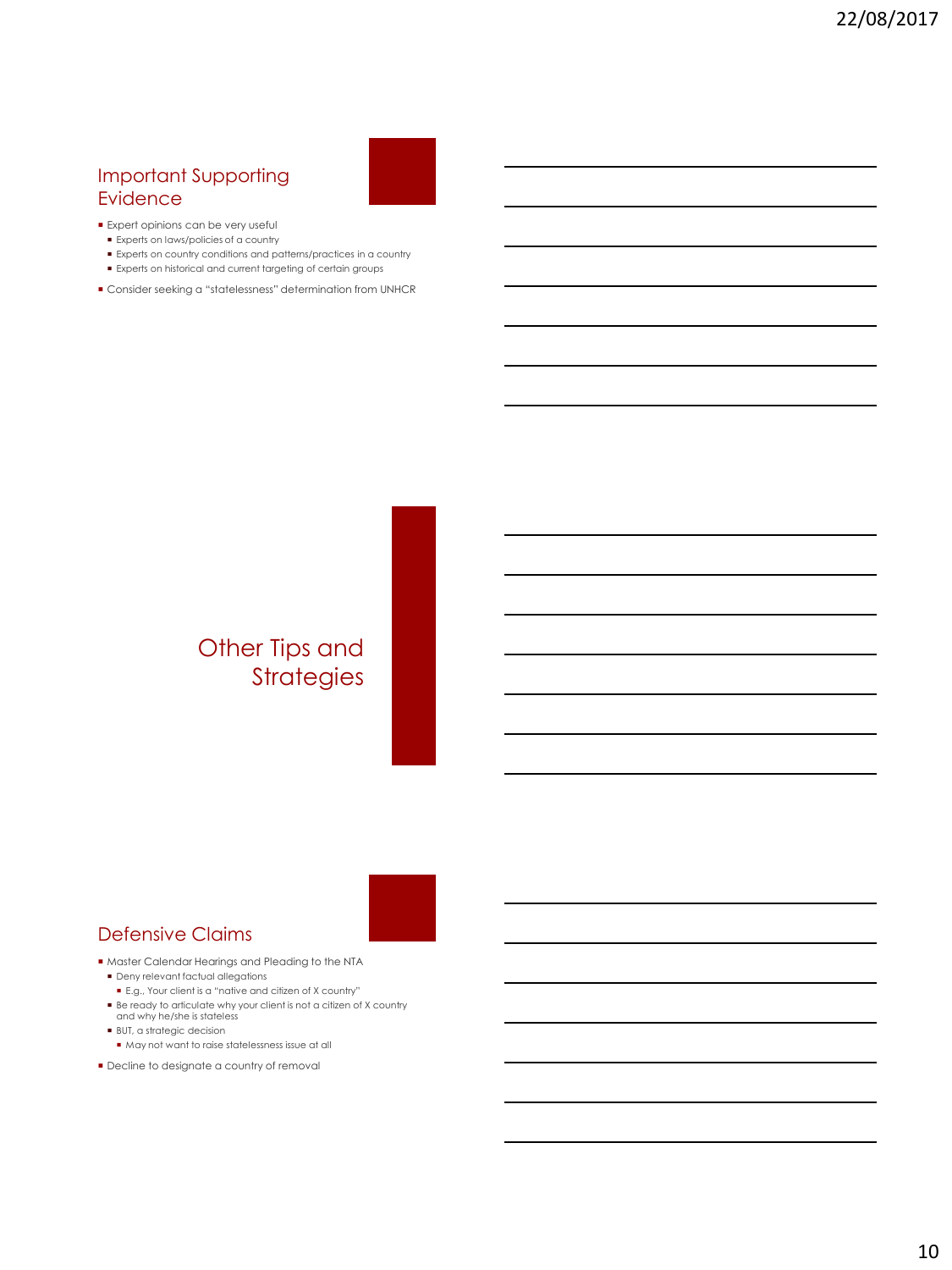## Important Supporting Evidence

#### **Expert opinions can be very useful**

- Experts on laws/policies of a country
- Experts on country conditions and patterns/practices in a country
- Experts on historical and current targeting of certain groups
- Consider seeking a "statelessness" determination from UNHCR

# Other Tips and Strategies



### Defensive Claims

- Master Calendar Hearings and Pleading to the NTA Deny relevant factual allegations
	- E.g., Your client is a "native and citizen of X country"
- Be ready to articulate why your client is not a citizen of X country and why he/she is stateless
- BUT, a strategic decision
- May not want to raise statelessness issue at all
- **Decline to designate a country of removal**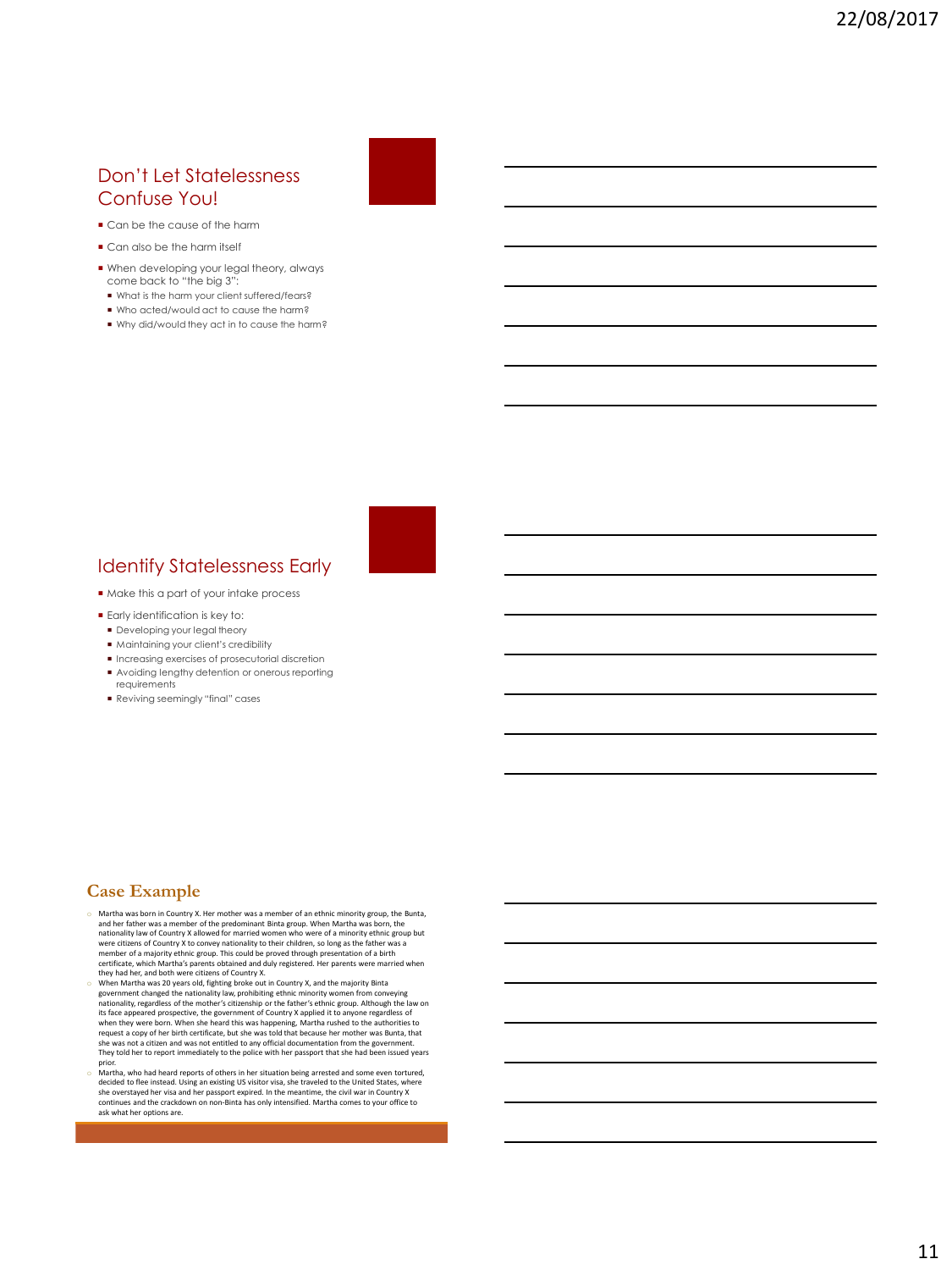#### Don't Let Statelessness Confuse You!

- $\blacksquare$  Can be the cause of the harm
- Can also be the harm itself
- When developing your legal theory, always come back to "the big 3":
- What is the harm your client suffered/fears?
- Who acted/would act to cause the harm?
- Why did/would they act in to cause the harm?

 $\blacksquare$  Make this a part of your intake process

Identify Statelessness Early

- **Early identification is key to:**
- **Developing your legal theory**
- $\blacksquare$  Maintaining your client's credibility
- $\blacksquare$  Increasing exercises of prosecutorial discretion Avoiding lengthy detention or onerous reporting
- requirements Reviving seemingly "final" cases

#### **Case Example**

- o Martha was born in Country X. Her mother was a member of an ethnic minority group, the Bunta, and her father was a member of the predominant Binta group. When Martha was born, the nationality law of Country X allowed for married women who were of a minority ethnic group but<br>were citizens of Country X to convey nationality to their children, so long as the father was a<br>member of a majority ethnic gro they had her, and both were citizens of Country X. o When Martha was 20 years old, fighting broke out in Country X, and the majority Binta
- government changed the nationality law, prohibiting ethnic minority women from conveying nationality, regardless of the mother's citizenship or the father's ethnic group. Although the law on its face appeared prospective, the government of Country X applied it to anyone regardless of<br>when they were born. When she heard this was happening, Martha rushed to the authorities to<br>request a copy of her birth certific They told her to report immediately to the police with her passport that she had been issued years prior.
- Martha, who had heard reports of others in her situation being arrested and some even tortured, decided to flee instead. Using an existing US visitor visa, she traveled to the United States, where she or the metal of the m ask what her options are.